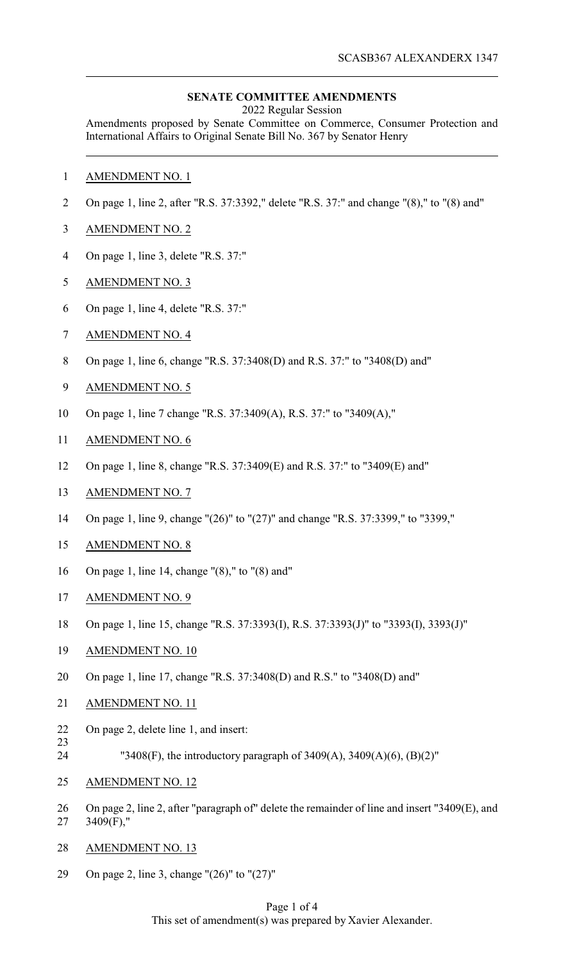### **SENATE COMMITTEE AMENDMENTS**

2022 Regular Session

Amendments proposed by Senate Committee on Commerce, Consumer Protection and International Affairs to Original Senate Bill No. 367 by Senator Henry

- AMENDMENT NO. 1
- On page 1, line 2, after "R.S. 37:3392," delete "R.S. 37:" and change "(8)," to "(8) and"
- AMENDMENT NO. 2
- On page 1, line 3, delete "R.S. 37:"
- AMENDMENT NO. 3
- On page 1, line 4, delete "R.S. 37:"
- AMENDMENT NO. 4
- On page 1, line 6, change "R.S. 37:3408(D) and R.S. 37:" to "3408(D) and"
- AMENDMENT NO. 5
- On page 1, line 7 change "R.S. 37:3409(A), R.S. 37:" to "3409(A),"
- AMENDMENT NO. 6
- On page 1, line 8, change "R.S. 37:3409(E) and R.S. 37:" to "3409(E) and"
- AMENDMENT NO. 7
- On page 1, line 9, change "(26)" to "(27)" and change "R.S. 37:3399," to "3399,"
- AMENDMENT NO. 8
- On page 1, line 14, change "(8)," to "(8) and"
- AMENDMENT NO. 9
- On page 1, line 15, change "R.S. 37:3393(I), R.S. 37:3393(J)" to "3393(I), 3393(J)"
- AMENDMENT NO. 10
- On page 1, line 17, change "R.S. 37:3408(D) and R.S." to "3408(D) and"
- AMENDMENT NO. 11
- On page 2, delete line 1, and insert:
- 
- "3408(F), the introductory paragraph of 3409(A), 3409(A)(6), (B)(2)"
- AMENDMENT NO. 12
- On page 2, line 2, after "paragraph of" delete the remainder of line and insert "3409(E), and 3409(F),"
- AMENDMENT NO. 13
- On page 2, line 3, change "(26)" to "(27)"

### Page 1 of 4 This set of amendment(s) was prepared by Xavier Alexander.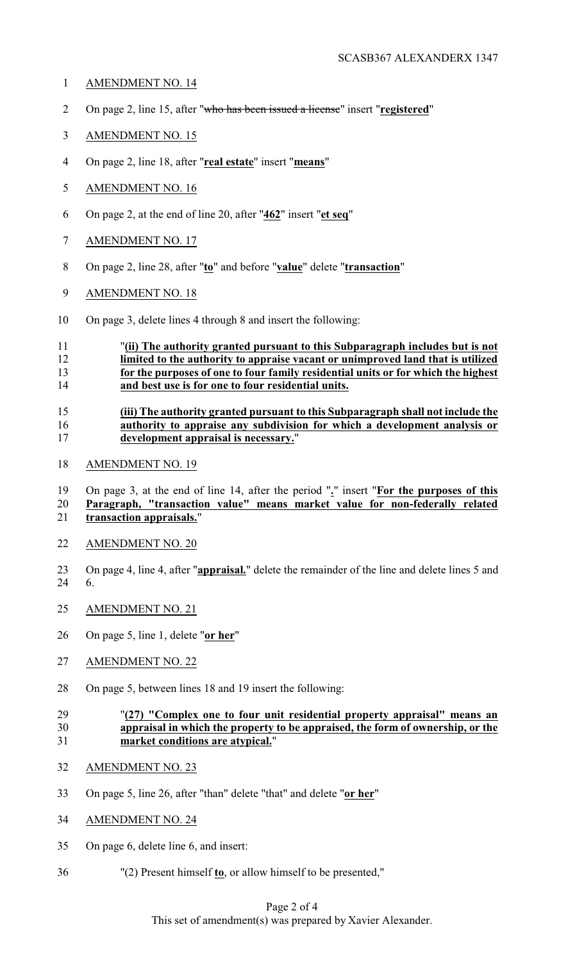- AMENDMENT NO. 14
- On page 2, line 15, after "who has been issued a license" insert "**registered**"
- AMENDMENT NO. 15
- On page 2, line 18, after "**real estate**" insert "**means**"
- AMENDMENT NO. 16
- On page 2, at the end of line 20, after "**462**" insert "**et seq**"
- AMENDMENT NO. 17
- On page 2, line 28, after "**to**" and before "**value**" delete "**transaction**"
- AMENDMENT NO. 18
- On page 3, delete lines 4 through 8 and insert the following:

# "**(ii) The authority granted pursuant to this Subparagraph includes but is not limited to the authority to appraise vacant or unimproved land that is utilized for the purposes of one to four family residential units or for which the highest and best use is for one to four residential units.**

### **(iii) The authority granted pursuant to this Subparagraph shall not include the authority to appraise any subdivision for which a development analysis or development appraisal is necessary.**"

AMENDMENT NO. 19

 On page 3, at the end of line 14, after the period "**.**" insert "**For the purposes of this Paragraph, "transaction value" means market value for non-federally related transaction appraisals.**"

- AMENDMENT NO. 20
- On page 4, line 4, after "**appraisal.**" delete the remainder of the line and delete lines 5 and 6.
- AMENDMENT NO. 21
- On page 5, line 1, delete "**or her**"
- AMENDMENT NO. 22
- On page 5, between lines 18 and 19 insert the following:

## "**(27) "Complex one to four unit residential property appraisal" means an appraisal in which the property to be appraised, the form of ownership, or the market conditions are atypical.**"

- AMENDMENT NO. 23
- On page 5, line 26, after "than" delete "that" and delete "**or her**"
- AMENDMENT NO. 24
- On page 6, delete line 6, and insert:
- "(2) Present himself **to**, or allow himself to be presented,"

# Page 2 of 4 This set of amendment(s) was prepared by Xavier Alexander.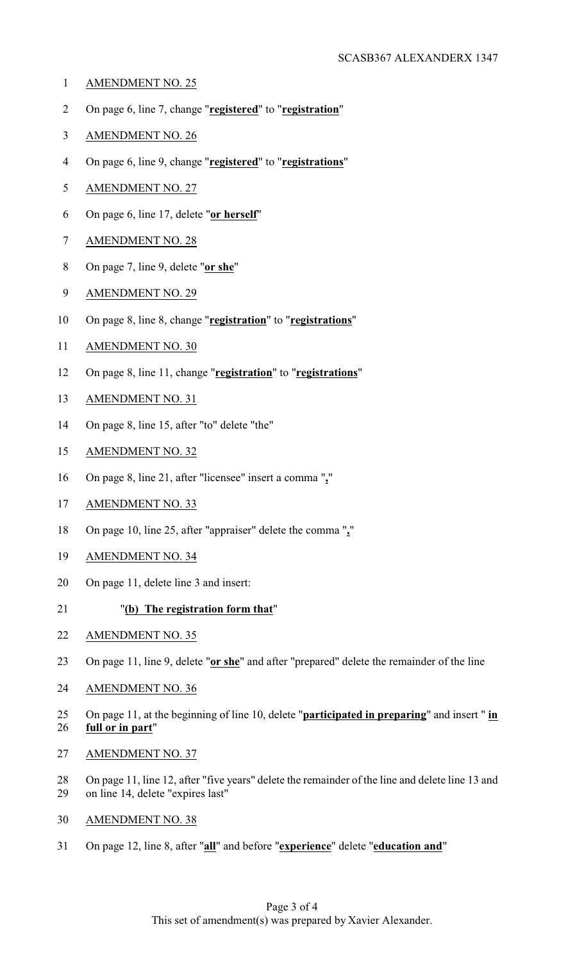- AMENDMENT NO. 25
- On page 6, line 7, change "**registered**" to "**registration**"
- AMENDMENT NO. 26
- On page 6, line 9, change "**registered**" to "**registrations**"
- AMENDMENT NO. 27
- On page 6, line 17, delete "**or herself**"
- AMENDMENT NO. 28
- On page 7, line 9, delete "**or she**"
- AMENDMENT NO. 29
- On page 8, line 8, change "**registration**" to "**registrations**"
- AMENDMENT NO. 30
- On page 8, line 11, change "**registration**" to "**registrations**"
- AMENDMENT NO. 31
- On page 8, line 15, after "to" delete "the"
- AMENDMENT NO. 32
- On page 8, line 21, after "licensee" insert a comma "**,**"
- AMENDMENT NO. 33
- On page 10, line 25, after "appraiser" delete the comma "**,**"
- AMENDMENT NO. 34
- On page 11, delete line 3 and insert:
- "**(b) The registration form that**"
- AMENDMENT NO. 35
- On page 11, line 9, delete "**or she**" and after "prepared" delete the remainder of the line
- AMENDMENT NO. 36
- On page 11, at the beginning of line 10, delete "**participated in preparing**" and insert " **in full or in part**"
- AMENDMENT NO. 37
- On page 11, line 12, after "five years" delete the remainder of the line and delete line 13 and on line 14, delete "expires last"
- AMENDMENT NO. 38
- On page 12, line 8, after "**all**" and before "**experience**" delete "**education and**"